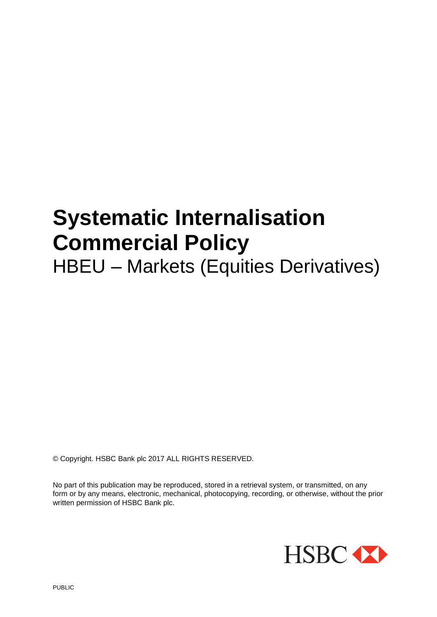# **Systematic Internalisation Commercial Policy**

## HBEU – Markets (Equities Derivatives)

© Copyright. HSBC Bank plc 2017 ALL RIGHTS RESERVED.

No part of this publication may be reproduced, stored in a retrieval system, or transmitted, on any form or by any means, electronic, mechanical, photocopying, recording, or otherwise, without the prior written permission of HSBC Bank plc.

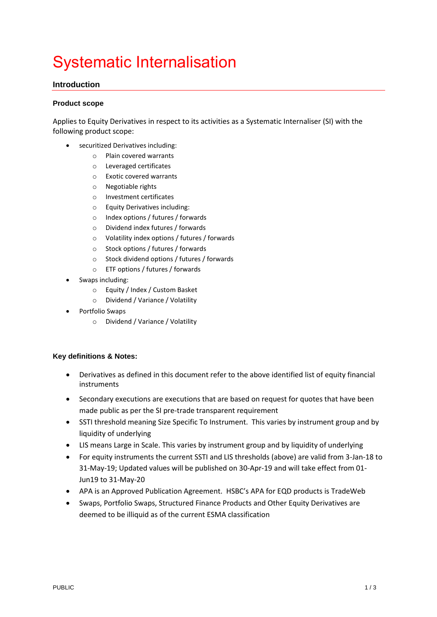### Systematic Internalisation

#### **Introduction**

#### **Product scope**

Applies to Equity Derivatives in respect to its activities as a Systematic Internaliser (SI) with the following product scope:

- securitized Derivatives including:
	- o Plain covered warrants
	- o Leveraged certificates
	- o Exotic covered warrants
	- o Negotiable rights
	- o Investment certificates
	- o Equity Derivatives including:
	- o Index options / futures / forwards
	- o Dividend index futures / forwards
	- o Volatility index options / futures / forwards
	- o Stock options / futures / forwards
	- o Stock dividend options / futures / forwards
	- o ETF options / futures / forwards
- Swaps including:
	- o Equity / Index / Custom Basket
	- o Dividend / Variance / Volatility
- Portfolio Swaps
	- o Dividend / Variance / Volatility

#### **Key definitions & Notes:**

- Derivatives as defined in this document refer to the above identified list of equity financial instruments
- Secondary executions are executions that are based on request for quotes that have been made public as per the SI pre-trade transparent requirement
- SSTI threshold meaning Size Specific To Instrument. This varies by instrument group and by liquidity of underlying
- LIS means Large in Scale. This varies by instrument group and by liquidity of underlying
- For equity instruments the current SSTI and LIS thresholds (above) are valid from 3-Jan-18 to 31-May-19; Updated values will be published on 30-Apr-19 and will take effect from 01- Jun19 to 31-May-20
- APA is an Approved Publication Agreement. HSBC's APA for EQD products is TradeWeb
- Swaps, Portfolio Swaps, Structured Finance Products and Other Equity Derivatives are deemed to be illiquid as of the current ESMA classification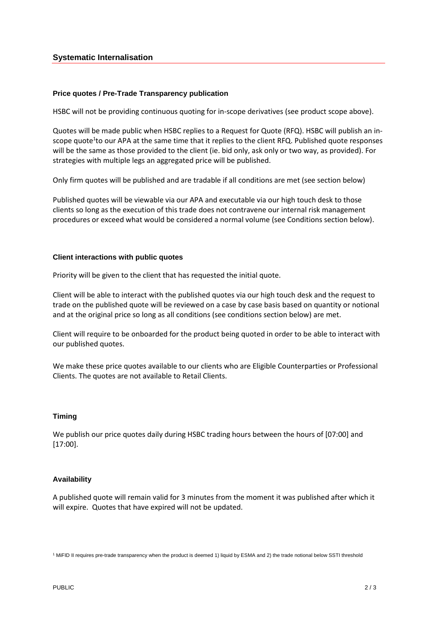#### **Systematic Internalisation**

#### **Price quotes / Pre-Trade Transparency publication**

HSBC will not be providing continuous quoting for in-scope derivatives (see product scope above).

Quotes will be made public when HSBC replies to a Request for Quote (RFQ). HSBC will publish an inscope quote<sup>1</sup>to our APA at the same time that it replies to the client RFQ. Published quote responses will be the same as those provided to the client (ie. bid only, ask only or two way, as provided). For strategies with multiple legs an aggregated price will be published.

Only firm quotes will be published and are tradable if all conditions are met (see section below)

Published quotes will be viewable via our APA and executable via our high touch desk to those clients so long as the execution of this trade does not contravene our internal risk management procedures or exceed what would be considered a normal volume (see Conditions section below).

#### **Client interactions with public quotes**

Priority will be given to the client that has requested the initial quote.

Client will be able to interact with the published quotes via our high touch desk and the request to trade on the published quote will be reviewed on a case by case basis based on quantity or notional and at the original price so long as all conditions (see conditions section below) are met.

Client will require to be onboarded for the product being quoted in order to be able to interact with our published quotes.

We make these price quotes available to our clients who are Eligible Counterparties or Professional Clients. The quotes are not available to Retail Clients.

#### **Timing**

We publish our price quotes daily during HSBC trading hours between the hours of [07:00] and [17:00].

#### **Availability**

A published quote will remain valid for 3 minutes from the moment it was published after which it will expire. Quotes that have expired will not be updated.

<sup>1</sup> MiFID II requires pre-trade transparency when the product is deemed 1) liquid by ESMA and 2) the trade notional below SSTI threshold